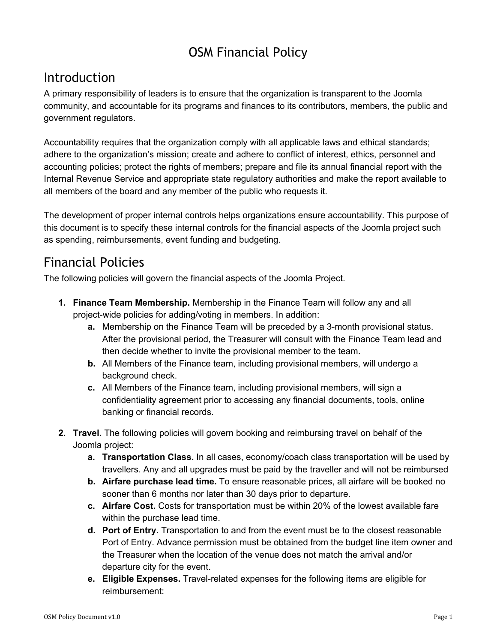## OSM Financial Policy

### Introduction

A primary responsibility of leaders is to ensure that the organization is transparent to the Joomla community, and accountable for its programs and finances to its contributors, members, the public and government regulators.

Accountability requires that the organization comply with all applicable laws and ethical standards; adhere to the organization's mission; create and adhere to conflict of interest, ethics, personnel and accounting policies; protect the rights of members; prepare and file its annual financial report with the Internal Revenue Service and appropriate state regulatory authorities and make the report available to all members of the board and any member of the public who requests it.

The development of proper internal controls helps organizations ensure accountability. This purpose of this document is to specify these internal controls for the financial aspects of the Joomla project such as spending, reimbursements, event funding and budgeting.

## Financial Policies

The following policies will govern the financial aspects of the Joomla Project.

- **1. Finance Team Membership.** Membership in the Finance Team will follow any and all project-wide policies for adding/voting in members. In addition:
	- **a.** Membership on the Finance Team will be preceded by a 3-month provisional status. After the provisional period, the Treasurer will consult with the Finance Team lead and then decide whether to invite the provisional member to the team.
	- **b.** All Members of the Finance team, including provisional members, will undergo a background check.
	- **c.** All Members of the Finance team, including provisional members, will sign a confidentiality agreement prior to accessing any financial documents, tools, online banking or financial records.
- **2. Travel.** The following policies will govern booking and reimbursing travel on behalf of the Joomla project:
	- **a. Transportation Class.** In all cases, economy/coach class transportation will be used by travellers. Any and all upgrades must be paid by the traveller and will not be reimbursed
	- **b. Airfare purchase lead time.** To ensure reasonable prices, all airfare will be booked no sooner than 6 months nor later than 30 days prior to departure.
	- **c. Airfare Cost.** Costs for transportation must be within 20% of the lowest available fare within the purchase lead time.
	- **d. Port of Entry.** Transportation to and from the event must be to the closest reasonable Port of Entry. Advance permission must be obtained from the budget line item owner and the Treasurer when the location of the venue does not match the arrival and/or departure city for the event.
	- **e.** Eligible Expenses. Travel-related expenses for the following items are eligible for reimbursement: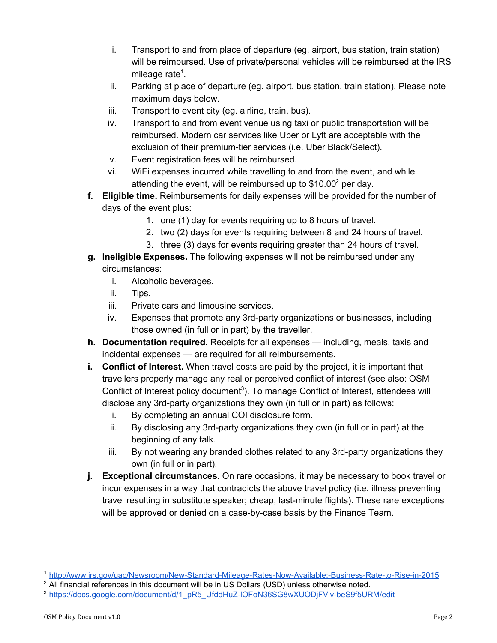- i. Transport to and from place of departure (eg. airport, bus station, train station) will be reimbursed. Use of private/personal vehicles will be reimbursed at the IRS mileage rate $<sup>1</sup>$ .</sup>
- ii. Parking at place of departure (eg. airport, bus station, train station). Please note maximum days below.
- iii. Transport to event city (eg. airline, train, bus).
- iv. Transport to and from event venue using taxi or public transportation will be reimbursed. Modern car services like Uber or Lyft are acceptable with the exclusion of their premium-tier services (i.e. Uber Black/Select).
- v. Event registration fees will be reimbursed.
- vi. WiFi expenses incurred while travelling to and from the event, and while attending the event, will be reimbursed up to  $$10.00^2$  per day.
- **f. Eligible time.** Reimbursements for daily expenses will be provided for the number of days of the event plus:
	- 1. one (1) day for events requiring up to 8 hours of travel.
	- 2. two (2) days for events requiring between 8 and 24 hours of travel.
	- 3. three (3) days for events requiring greater than 24 hours of travel.
- **g. Ineligible Expenses.** The following expenses will not be reimbursed under any circumstances:
	- i. Alcoholic beverages.
	- ii. Tips.
	- iii. Private cars and limousine services.
	- $iv.$  Expenses that promote any 3rd-party organizations or businesses, including those owned (in full or in part) by the traveller.
- **h. Documentation required.** Receipts for all expenses including, meals, taxis and incidental expenses — are required for all reimbursements.
- **i. Conflict of Interest.** When travel costs are paid by the project, it is important that travellers properly manage any real or perceived conflict of interest (see also: OSM Conflict of Interest policy document<sup>3</sup>). To manage Conflict of Interest, attendees will disclose any 3rd-party organizations they own (in full or in part) as follows:
	- i. By completing an annual COI disclosure form.
	- $ii.$  By disclosing any 3rd-party organizations they own (in full or in part) at the beginning of any talk.
	- $iii.$  By not wearing any branded clothes related to any 3rd-party organizations they own (in full or in part).
- **j. Exceptional circumstances.** On rare occasions, it may be necessary to book travel or incur expenses in a way that contradicts the above travel policy (i.e. illness preventing travel resulting in substitute speaker; cheap, last-minute flights). These rare exceptions will be approved or denied on a case-by-case basis by the Finance Team.

http://www.irs.gov/uac/Newsroom/New-Standard-Mileage-Rates-Now-Available;-Business-Rate-to-Rise-in-2015

<sup>&</sup>lt;sup>2</sup> All financial references in this document will be in US Dollars (USD) unless otherwise noted.

<sup>&</sup>lt;sup>3</sup> https://docs.google.com/document/d/1\_pR5\_UfddHuZ-IOFoN36SG8wXUODjFViv-beS9f5URM/edit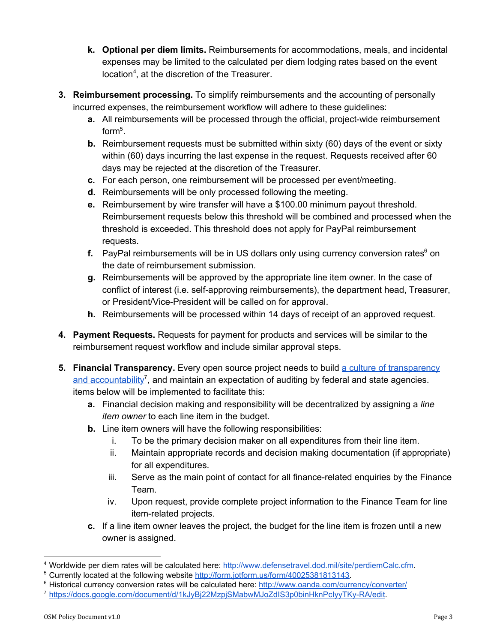- **k. Optional per diem limits.** Reimbursements for accommodations, meals, and incidental expenses may be limited to the calculated per diem lodging rates based on the event  $location<sup>4</sup>$ , at the discretion of the Treasurer.
- **3. Reimbursement processing.** To simplify reimbursements and the accounting of personally incurred expenses, the reimbursement workflow will adhere to these guidelines:
	- **a.** All reimbursements will be processed through the official, project-wide reimbursement  $form<sup>5</sup>$ .
	- **b.** Reimbursement requests must be submitted within sixty (60) days of the event or sixty within (60) days incurring the last expense in the request. Requests received after 60 days may be rejected at the discretion of the Treasurer.
	- **c.** For each person, one reimbursement will be processed per event/meeting.
	- **d.** Reimbursements will be only processed following the meeting.
	- **e.** Reimbursement by wire transfer will have a \$100.00 minimum payout threshold. Reimbursement requests below this threshold will be combined and processed when the threshold is exceeded. This threshold does not apply for PayPal reimbursement requests.
	- **f.** PayPal reimbursements will be in US dollars only using currency conversion rates<sup>6</sup> on the date of reimbursement submission.
	- **g.** Reimbursements will be approved by the appropriate line item owner. In the case of conflict of interest (i.e. self-approving reimbursements), the department head, Treasurer, or President/Vice-President will be called on for approval.
	- **h.** Reimbursements will be processed within 14 days of receipt of an approved request.
- **4. Payment Requests.** Requests for payment for products and services will be similar to the reimbursement request workflow and include similar approval steps.
- **5. Financial Transparency.** Every open source project needs to build [a culture of transparency](https://docs.google.com/document/d/1kJyBj22MzpjSMabwMJoZdIS3p0binHknPcIyyTKy-RA/edit?usp=sharing) [and accountability](https://docs.google.com/document/d/1kJyBj22MzpjSMabwMJoZdIS3p0binHknPcIyyTKy-RA/edit?usp=sharing)<sup>7</sup>, and maintain an expectation of auditing by federal and state agencies. items below will be implemented to facilitate this:
	- **a.** Financial decision making and responsibility will be decentralized by assigning a *line item owner* to each line item in the budget.
	- **b.** Line item owners will have the following responsibilities:
		- i. To be the primary decision maker on all expenditures from their line item.
		- ii. Maintain appropriate records and decision making documentation (if appropriate) for all expenditures.
		- iii. Serve as the main point of contact for all finance-related enquiries by the Finance Team.
		- iv. Upon request, provide complete project information to the Finance Team for line item-related projects.
	- **c.** If a line item owner leaves the project, the budget for the line item is frozen until a new owner is assigned.

<sup>&</sup>lt;sup>4</sup> Worldwide per diem rates will be calculated here: [http://www.defensetravel.dod.mil/site/perdiemCalc.cfm.](http://www.defensetravel.dod.mil/site/perdiemCalc.cfm)

<sup>&</sup>lt;sup>5</sup> Currently located at the following website [http://form.jotform.us/form/40025381813143.](http://form.jotform.us/form/40025381813143)

<sup>&</sup>lt;sup>6</sup> Historical currency conversion rates will be calculated here: <http://www.oanda.com/currency/converter/>

<sup>7</sup> https://docs.google.com/document/d/1kJyBj22MzpjSMabwMJoZdIS3p0binHknPcIyyTKy-RA/edit.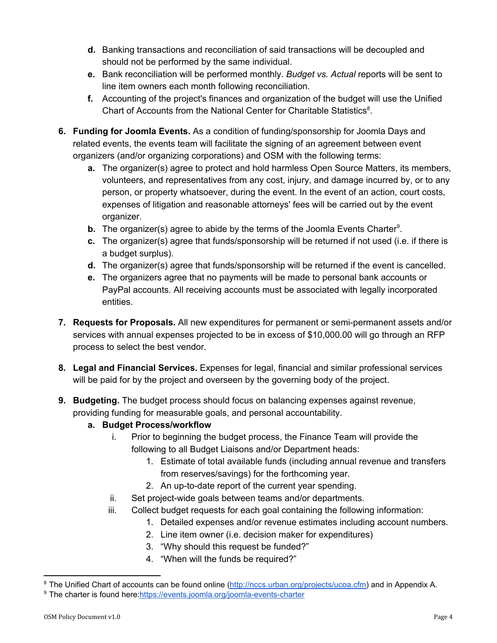- **d.** Banking transactions and reconciliation of said transactions will be decoupled and should not be performed by the same individual.
- **e.** Bank reconciliation will be performed monthly. *Budget vs. Actual* reports will be sent to line item owners each month following reconciliation.
- **f.** Accounting of the project's finances and organization of the budget will use the Unified Chart of Accounts from the National Center for Charitable Statistics<sup>8</sup>.
- **6. Funding for Joomla Events.** As a condition of funding/sponsorship for Joomla Days and related events, the events team will facilitate the signing of an agreement between event organizers (and/or organizing corporations) and OSM with the following terms:
	- **a.** The organizer(s) agree to protect and hold harmless Open Source Matters, its members, volunteers, and representatives from any cost, injury, and damage incurred by, or to any person, or property whatsoever, during the event. In the event of an action, court costs, expenses of litigation and reasonable attorneys' fees will be carried out by the event organizer.
	- **b.** The organizer(s) agree to abide by the terms of the Joomla Events Charter<sup>9</sup>.
	- **c.** The organizer(s) agree that funds/sponsorship will be returned if not used (i.e. if there is a budget surplus).
	- **d.** The organizer(s) agree that funds/sponsorship will be returned if the event is cancelled.
	- **e.** The organizers agree that no payments will be made to personal bank accounts or PayPal accounts. All receiving accounts must be associated with legally incorporated entities.
- **7. Requests for Proposals.** All new expenditures for permanent or semi-permanent assets and/or services with annual expenses projected to be in excess of \$10,000.00 will go through an RFP process to select the best vendor.
- **8. Legal and Financial Services.** Expenses for legal, financial and similar professional services will be paid for by the project and overseen by the governing body of the project.
- **9. Budgeting.** The budget process should focus on balancing expenses against revenue, providing funding for measurable goals, and personal accountability.

#### **a. Budget Process/workflow**

- i. Prior to beginning the budget process, the Finance Team will provide the following to all Budget Liaisons and/or Department heads:
	- 1. Estimate of total available funds (including annual revenue and transfers from reserves/savings) for the forthcoming year.
	- 2. An up-to-date report of the current year spending.
- ii. Set project-wide goals between teams and/or departments.
- iii. Collect budget requests for each goal containing the following information:
	- 1. Detailed expenses and/or revenue estimates including account numbers.
	- 2. Line item owner (i.e. decision maker for expenditures)
	- 3. "Why should this request be funded?"
	- 4. "When will the funds be required?"

<sup>&</sup>lt;sup>8</sup> The Unified Chart of accounts can be found online (*http://nccs.urban.org/projects/ucoa.cfm*) and in Appendix A.

<sup>&</sup>lt;sup>9</sup> The charter is found here:https://events.joomla.org/joomla-events-charter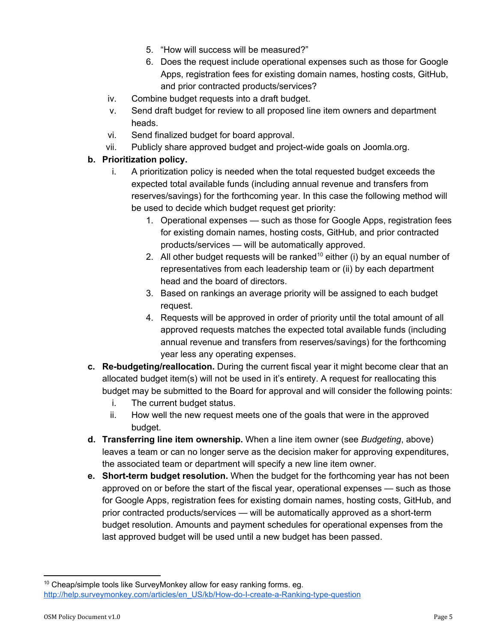- 5. "How will success will be measured?"
- 6. Does the request include operational expenses such as those for Google Apps, registration fees for existing domain names, hosting costs, GitHub, and prior contracted products/services?
- iv. Combine budget requests into a draft budget.
- v. Send draft budget for review to all proposed line item owners and department heads.
- vi. Send finalized budget for board approval.
- vii. Publicly share approved budget and project-wide goals on Joomla.org.

#### **b. Prioritization policy.**

- i. A prioritization policy is needed when the total requested budget exceeds the expected total available funds (including annual revenue and transfers from reserves/savings) for the forthcoming year. In this case the following method will be used to decide which budget request get priority:
	- 1. Operational expenses such as those for Google Apps, registration fees for existing domain names, hosting costs, GitHub, and prior contracted products/services — will be automatically approved.
	- 2. All other budget requests will be ranked<sup>10</sup> either (i) by an equal number of representatives from each leadership team or (ii) by each department head and the board of directors.
	- 3. Based on rankings an average priority will be assigned to each budget request.
	- 4. Requests will be approved in order of priority until the total amount of all approved requests matches the expected total available funds (including annual revenue and transfers from reserves/savings) for the forthcoming year less any operating expenses.
- **c.** Re-budgeting/reallocation. During the current fiscal year it might become clear that an allocated budget item(s) will not be used in it's entirety. A request for reallocating this budget may be submitted to the Board for approval and will consider the following points:
	- i. The current budget status.
	- ii. How well the new request meets one of the goals that were in the approved budget.
- **d. Transferring line item ownership.** When a line item owner (see *Budgeting*, above) leaves a team or can no longer serve as the decision maker for approving expenditures, the associated team or department will specify a new line item owner.
- **e.** Short-term budget resolution. When the budget for the forthcoming year has not been approved on or before the start of the fiscal year, operational expenses — such as those for Google Apps, registration fees for existing domain names, hosting costs, GitHub, and prior contracted products/services — will be automatically approved as a short-term budget resolution. Amounts and payment schedules for operational expenses from the last approved budget will be used until a new budget has been passed.

<sup>&</sup>lt;sup>10</sup> Cheap/simple tools like SurveyMonkey allow for easy ranking forms. eg. http://help.surveymonkey.com/articles/en\_US/kb/How-do-I-create-a-Ranking-type-question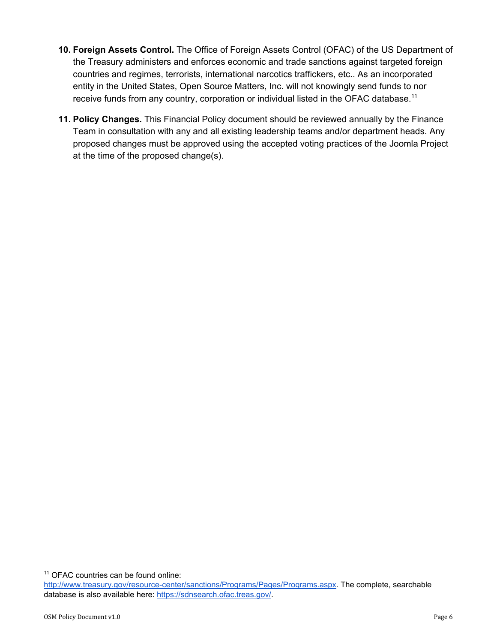- **10. Foreign Assets Control.** The Office of Foreign Assets Control (OFAC) of the US Department of the Treasury administers and enforces economic and trade sanctions against targeted foreign countries and regimes, terrorists, international narcotics traffickers, etc.. As an incorporated entity in the United States, Open Source Matters, Inc. will not knowingly send funds to nor receive funds from any country, corporation or individual listed in the OFAC database.<sup>11</sup>
- **11. Policy Changes.** This Financial Policy document should be reviewed annually by the Finance Team in consultation with any and all existing leadership teams and/or department heads. Any proposed changes must be approved using the accepted voting practices of the Joomla Project at the time of the proposed change(s).

<sup>&</sup>lt;sup>11</sup> OFAC countries can be found online:

http://www.treasury.gov/resource-center/sanctions/Programs/Pages/Programs.aspx. The complete, searchable database is also available here:<https://sdnsearch.ofac.treas.gov/>.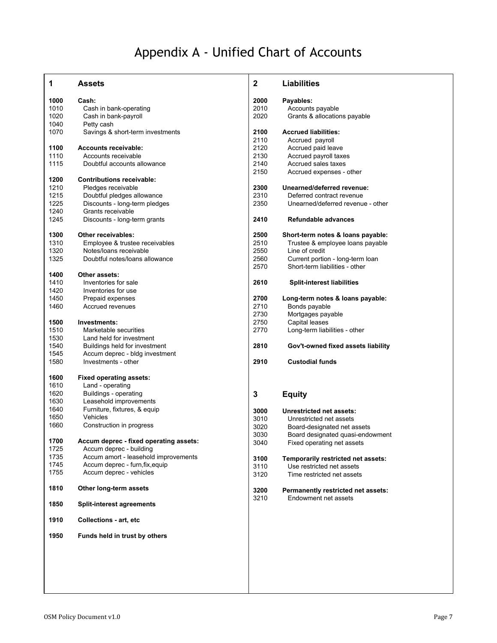# Appendix A - Unified Chart of Accounts

| 1    | <b>Assets</b>                          | $\mathbf{2}$ | <b>Liabilities</b>                                                |
|------|----------------------------------------|--------------|-------------------------------------------------------------------|
| 1000 | Cash:                                  | 2000         | Payables:                                                         |
| 1010 | Cash in bank-operating                 | 2010         | Accounts payable                                                  |
| 1020 | Cash in bank-payroll                   | 2020         | Grants & allocations payable                                      |
| 1040 | Petty cash                             |              |                                                                   |
| 1070 | Savings & short-term investments       | 2100         | <b>Accrued liabilities:</b>                                       |
|      |                                        | 2110         | Accrued payroll                                                   |
| 1100 | <b>Accounts receivable:</b>            | 2120         | Accrued paid leave                                                |
| 1110 | Accounts receivable                    | 2130         | Accrued payroll taxes                                             |
|      |                                        |              |                                                                   |
| 1115 | Doubtful accounts allowance            | 2140         | Accrued sales taxes                                               |
|      |                                        | 2150         | Accrued expenses - other                                          |
| 1200 | <b>Contributions receivable:</b>       |              |                                                                   |
| 1210 | Pledges receivable                     | 2300         | Unearned/deferred revenue:                                        |
| 1215 | Doubtful pledges allowance             | 2310         | Deferred contract revenue                                         |
| 1225 | Discounts - long-term pledges          | 2350         | Unearned/deferred revenue - other                                 |
| 1240 | Grants receivable                      |              |                                                                   |
| 1245 | Discounts - long-term grants           | 2410         | Refundable advances                                               |
| 1300 | Other receivables:                     | 2500         | Short-term notes & loans payable:                                 |
| 1310 | Employee & trustee receivables         | 2510         | Trustee & employee loans payable                                  |
| 1320 | Notes/loans receivable                 | 2550         | Line of credit                                                    |
| 1325 | Doubtful notes/loans allowance         | 2560         | Current portion - long-term loan                                  |
|      |                                        | 2570         | Short-term liabilities - other                                    |
| 1400 | Other assets:                          |              |                                                                   |
| 1410 | Inventories for sale                   | 2610         | <b>Split-interest liabilities</b>                                 |
| 1420 | Inventories for use                    |              |                                                                   |
|      |                                        |              |                                                                   |
| 1450 | Prepaid expenses                       | 2700         | Long-term notes & loans payable:                                  |
| 1460 | Accrued revenues                       | 2710         | Bonds payable                                                     |
|      |                                        | 2730         | Mortgages payable                                                 |
| 1500 | Investments:                           | 2750         | Capital leases                                                    |
| 1510 | Marketable securities                  | 2770         | Long-term liabilities - other                                     |
| 1530 | Land held for investment               |              |                                                                   |
| 1540 | Buildings held for investment          | 2810         | Gov't-owned fixed assets liability                                |
| 1545 | Accum deprec - bldg investment         |              |                                                                   |
| 1580 | Investments - other                    | 2910         | <b>Custodial funds</b>                                            |
| 1600 | <b>Fixed operating assets:</b>         |              |                                                                   |
| 1610 | Land - operating                       |              |                                                                   |
| 1620 | Buildings - operating                  | 3            | <b>Equity</b>                                                     |
| 1630 | Leasehold improvements                 |              |                                                                   |
| 1640 | Furniture, fixtures, & equip           | 3000         | Unrestricted net assets:                                          |
| 1650 | Vehicles                               | 3010         | Unrestricted net assets                                           |
| 1660 | Construction in progress               | 3020         |                                                                   |
|      |                                        |              | Board-designated net assets                                       |
| 1700 | Accum deprec - fixed operating assets: | 3030         | Board designated quasi-endowment                                  |
| 1725 | Accum deprec - building                | 3040         | Fixed operating net assets                                        |
| 1735 | Accum amort - leasehold improvements   |              |                                                                   |
|      |                                        | 3100         | Temporarily restricted net assets:                                |
| 1745 | Accum deprec - furn, fix, equip        | 3110         | Use restricted net assets                                         |
| 1755 | Accum deprec - vehicles                | 3120         | Time restricted net assets                                        |
| 1810 | Other long-term assets                 | 3200         | <b>Permanently restricted net assets:</b><br>Endowment net assets |
| 1850 | <b>Split-interest agreements</b>       | 3210         |                                                                   |
| 1910 | <b>Collections - art, etc</b>          |              |                                                                   |
| 1950 | Funds held in trust by others          |              |                                                                   |
|      |                                        |              |                                                                   |
|      |                                        |              |                                                                   |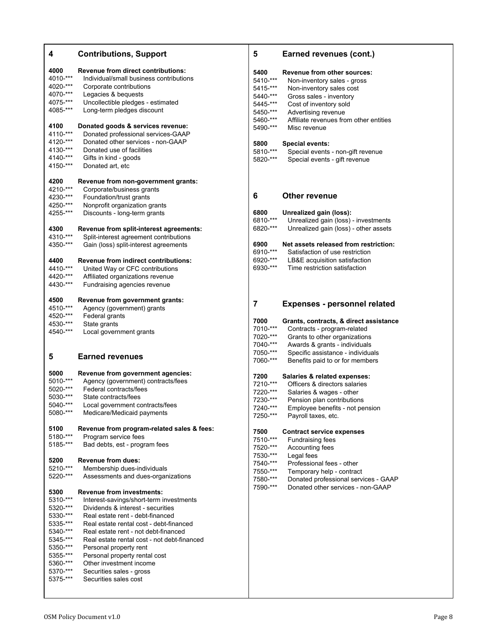| 4                    | <b>Contributions, Support</b>                                                   |
|----------------------|---------------------------------------------------------------------------------|
| 4000                 | <b>Revenue from direct contributions:</b>                                       |
| 4010-***             | Individual/small business contributions                                         |
| 4020-***             | Corporate contributions                                                         |
| 4070-***             | Legacies & bequests                                                             |
| 4075-***             | Uncollectible pledges - estimated                                               |
| 4085-***             | Long-term pledges discount                                                      |
| 4100                 | Donated goods & services revenue:                                               |
| 4110-***             | Donated professional services-GAAP                                              |
| 4120-***             | Donated other services - non-GAAP                                               |
| 4130-***             | Donated use of facilities                                                       |
| 4140-***             | Gifts in kind - goods                                                           |
| 4150-***             | Donated art, etc                                                                |
| 4200                 | Revenue from non-government grants:                                             |
| 4210-***             | Corporate/business grants                                                       |
| 4230-***<br>4250-*** | Foundation/trust grants                                                         |
| 4255-***             | Nonprofit organization grants<br>Discounts - long-term grants                   |
|                      |                                                                                 |
| 4300                 | Revenue from split-interest agreements:                                         |
| 4310-***<br>4350-*** | Split-interest agreement contributions<br>Gain (loss) split-interest agreements |
|                      |                                                                                 |
| 4400                 | <b>Revenue from indirect contributions:</b>                                     |
| 4410-***             | United Way or CFC contributions                                                 |
| 4420-***             | Affiliated organizations revenue                                                |
| 4430-***             | Fundraising agencies revenue                                                    |
| 4500                 | Revenue from government grants:                                                 |
| 4510-***             | Agency (government) grants                                                      |
| 4520-***             | Federal grants                                                                  |
| 4530-***             | State grants                                                                    |
| 4540-***             | Local government grants                                                         |
| 5                    | <b>Earned revenues</b>                                                          |
| 5000                 | Revenue from government agencies:                                               |
| 5010-***             | Agency (government) contracts/fees                                              |
| 5020-***             | Federal contracts/fees                                                          |
| 5030-***             | State contracts/fees                                                            |
| 5040-***             | Local government contracts/fees                                                 |
| 5080-***             | Medicare/Medicaid payments                                                      |
| 5100                 | Revenue from program-related sales & fees:                                      |
| 5180-***             | Program service fees                                                            |
| 5185-***             | Bad debts, est - program fees                                                   |
| 5200                 | <b>Revenue from dues:</b>                                                       |
| 5210-***             | Membership dues-individuals                                                     |
| 5220-***             | Assessments and dues-organizations                                              |
| 5300                 | <b>Revenue from investments:</b>                                                |
| 5310-***             | Interest-savings/short-term investments                                         |
| 5320-***             | Dividends & interest - securities                                               |
| 5330-***             | Real estate rent - debt-financed                                                |
| 5335-***             | Real estate rental cost - debt-financed                                         |
| 5340-***<br>5345-*** | Real estate rent - not debt-financed                                            |
| 5350-***             | Real estate rental cost - not debt-financed<br>Personal property rent           |
| 5355-***             | Personal property rental cost                                                   |
| 5360-***             | Other investment income                                                         |
| 5370-***             | Securities sales - gross                                                        |
| 5375-***             | Securities sales cost                                                           |
|                      |                                                                                 |

| 5        | <b>Earned revenues (cont.)</b>         |
|----------|----------------------------------------|
| 5400     | <b>Revenue from other sources:</b>     |
| 5410-*** | Non-inventory sales - gross            |
| 5415-*** | Non-inventory sales cost               |
| 5440-*** | Gross sales - inventory                |
| 5445-*** | Cost of inventory sold                 |
| 5450-*** | Advertising revenue                    |
| 5460-*** | Affiliate revenues from other entities |
| 5490-*** | Misc revenue                           |
| 5800     | <b>Special events:</b>                 |
| 5810-*** | Special events - non-gift revenue      |
| 5820-*** | Special events - gift revenue          |
| 6        | Other revenue                          |
| 6800     | Unrealized gain (loss):                |
| 6810-*** | Unrealized gain (loss) - investments   |
| 6820-*** | Unrealized gain (loss) - other assets  |
| 6900     | Net assets released from restriction:  |
| 6910-*** | Satisfaction of use restriction        |
| 6920-*** | LB&E acquisition satisfaction          |
| 6930-*** | Time restriction satisfaction          |
| 7        | <b>Expenses - personnel related</b>    |
| 7000     | Grants, contracts, & direct assistance |
| 7010-*** | Contracts - program-related            |
| 7020-*** | Grants to other organizations          |
| 7040-*** | Awards & grants - individuals          |
| 7050-*** | Specific assistance - individuals      |
| 7060-*** | Benefits paid to or for members        |
| 7200     | Salaries & related expenses:           |
| 7210-*** | Officers & directors salaries          |
| 7220-*** | Salaries & wages - other               |
| 7230-*** | Pension plan contributions             |
| 7240-*** | Employee benefits - not pension        |
| 7250-*** | Payroll taxes, etc.                    |
| 7500     | <b>Contract service expenses</b>       |
| 7510-*** | <b>Fundraising fees</b>                |
| 7520-*** | Accounting fees                        |
| 7530-*** | Legal fees                             |
| 7540-*** | Professional fees - other              |
| 7550-*** | Temporary help - contract              |
| 7580-*** | Donated professional services - GAAP   |
| 7590-*** | Donated other services - non-GAAP      |
|          |                                        |